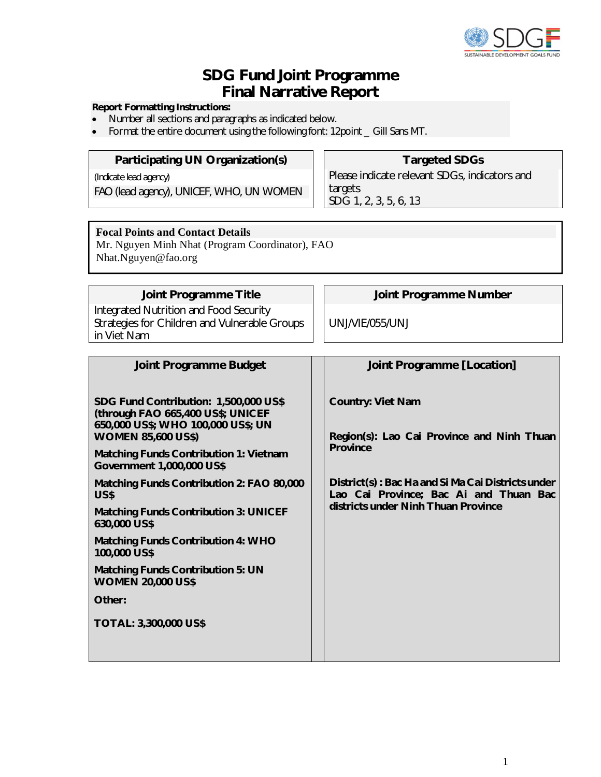

# **SDG Fund Joint Programme Final Narrative Report**

#### **Report Formatting Instructions:**

- Number all sections and paragraphs as indicated below.
- Format the entire document using the following font: 12point \_ Gill Sans MT.

# **Participating UN Organization(s) | Targeted SDGs**

*(Indicate lead agency)*

*FAO (lead agency), UNICEF, WHO, UN WOMEN*

# Please indicate relevant SDGs, indicators and targets SDG 1, 2, 3, 5, 6, 13

# **Focal Points and Contact Details**

Mr. Nguyen Minh Nhat (Program Coordinator), FAO Nhat.Nguyen@fao.org

Integrated Nutrition and Food Security Strategies for Children and Vulnerable Groups in Viet Nam

**Joint Programme Title Joint Programme Number**

UNJ/VIE/055/UNJ

| <b>Joint Programme Budget</b>                                                                                                                                                                                                                                                                                                                                                                                                                                                                                                   | Joint Programme [Location]                                                                                                                                                                                                      |
|---------------------------------------------------------------------------------------------------------------------------------------------------------------------------------------------------------------------------------------------------------------------------------------------------------------------------------------------------------------------------------------------------------------------------------------------------------------------------------------------------------------------------------|---------------------------------------------------------------------------------------------------------------------------------------------------------------------------------------------------------------------------------|
| SDG Fund Contribution: 1,500,000 US\$<br>(through FAO 665,400 US\$; UNICEF<br>650,000 US\$; WHO 100,000 US\$; UN<br><b>WOMEN 85,600 US\$)</b><br><b>Matching Funds Contribution 1: Vietnam</b><br>Government 1,000,000 US\$<br>Matching Funds Contribution 2: FAO 80,000<br>US\$<br><b>Matching Funds Contribution 3: UNICEF</b><br>630,000 US\$<br><b>Matching Funds Contribution 4: WHO</b><br>100,000 US\$<br><b>Matching Funds Contribution 5: UN</b><br><b>WOMEN 20,000 US\$</b><br>Other:<br><b>TOTAL: 3,300,000 US\$</b> | <b>Country: Viet Nam</b><br>Region(s): Lao Cai Province and Ninh Thuan<br><b>Province</b><br>District(s): Bac Ha and Si Ma Cai Districts under<br>Lao Cai Province; Bac Ai and Thuan Bac<br>districts under Ninh Thuan Province |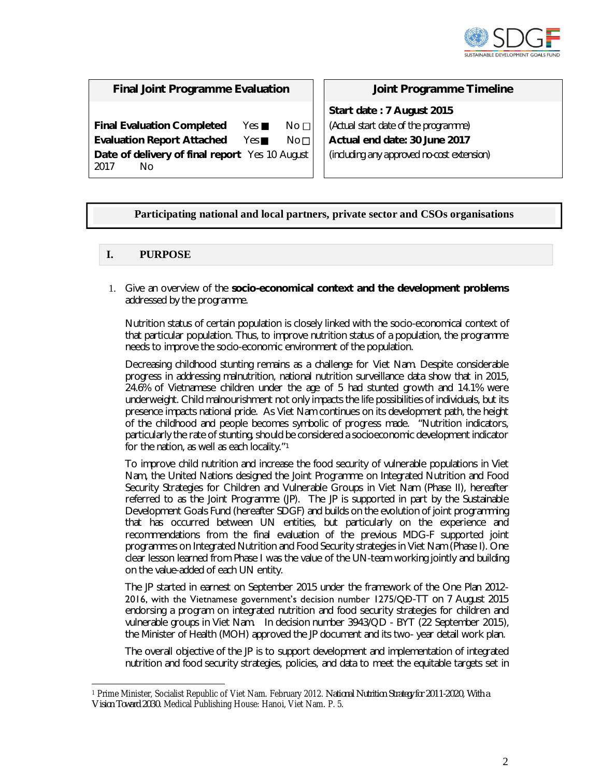

# **Final Joint Programme Evaluation Joint Programme Timeline**

**Final Evaluation Completed** Yes **No** $\Box$  No $\Box$ **Evaluation Report Attached** Yes No□ **Date of delivery of final report** Yes 10 August 2017 No

**Start date : 7 August 2015** *(Actual start date of the programme)* **Actual end date: 30 June 2017** *(including any approved no-cost extension)*

# **Participating national and local partners, private sector and CSOs organisations**

# **I. PURPOSE**

1. Give an overview of the **socio-economical context and the development problems** addressed by the programme.

Nutrition status of certain population is closely linked with the socio-economical context of that particular population. Thus, to improve nutrition status of a population, the programme needs to improve the socio-economic environment of the population.

Decreasing childhood stunting remains as a challenge for Viet Nam. Despite considerable progress in addressing malnutrition, national nutrition surveillance data show that in 2015, 24.6% of Vietnamese children under the age of 5 had stunted growth and 14.1% were underweight. Child malnourishment not only impacts the life possibilities of individuals, but its presence impacts national pride. As Viet Nam continues on its development path, the height of the childhood and people becomes symbolic of progress made. "Nutrition indicators, particularly the rate of stunting, should be considered a socioeconomic development indicator for the nation, as well as each locality."<sup>1</sup>

To improve child nutrition and increase the food security of vulnerable populations in Viet Nam, the United Nations designed the Joint Programme on Integrated Nutrition and Food Security Strategies for Children and Vulnerable Groups in Viet Nam (Phase II), hereafter referred to as the Joint Programme (JP). The JP is supported in part by the Sustainable Development Goals Fund (hereafter SDGF) and builds on the evolution of joint programming that has occurred between UN entities, but particularly on the experience and recommendations from the final evaluation of the previous MDG-F supported joint programmes on Integrated Nutrition and Food Security strategies in Viet Nam (Phase I). One clear lesson learned from Phase I was the value of the UN-team working jointly and building on the value-added of each UN entity.

The JP started in earnest on September 2015 under the framework of the One Plan 2012- 2016, with the Vietnamese government's decision number 1275/QĐ-TT on 7 August 2015 endorsing a program on integrated nutrition and food security strategies for children and vulnerable groups in Viet Nam. In decision number 3943/QD - BYT (22 September 2015), the Minister of Health (MOH) approved the JP document and its two- year detail work plan.

The overall objective of the JP is to support development and implementation of integrated nutrition and food security strategies, policies, and data to meet the equitable targets set in

<sup>-</sup><sup>1</sup> Prime Minister, Socialist Republic of Viet Nam. February 2012. *National Nutrition Strategy for 2011-2020, With a Vision Toward 2030.* Medical Publishing House: Hanoi, Viet Nam. P. 5.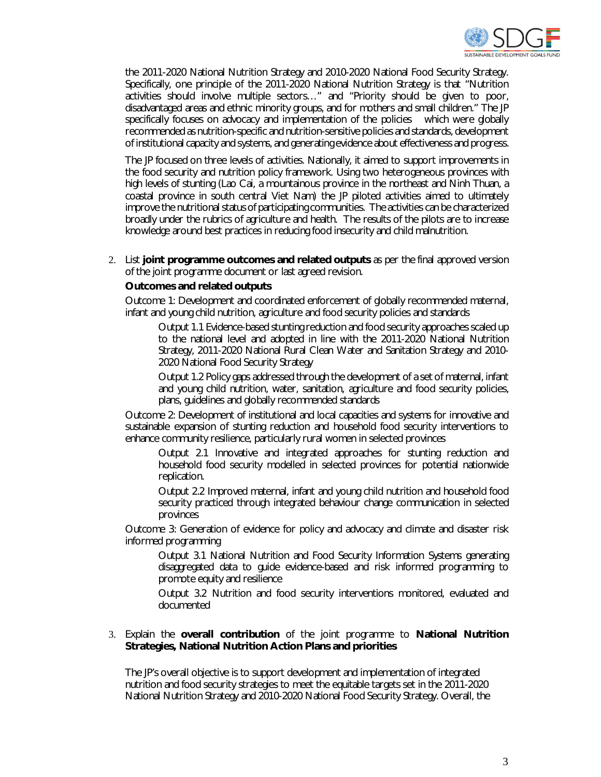

the 2011-2020 National Nutrition Strategy and 2010-2020 National Food Security Strategy. Specifically, one principle of the 2011-2020 National Nutrition Strategy is that "Nutrition activities should involve multiple sectors…" and "Priority should be given to poor, disadvantaged areas and ethnic minority groups, and for mothers and small children." The JP specifically focuses on advocacy and implementation of the policies which were globally recommended as nutrition-specific and nutrition-sensitive policies and standards, development of institutional capacity and systems, and generating evidence about effectiveness and progress.

The JP focused on three levels of activities. Nationally, it aimed to support improvements in the food security and nutrition policy framework. Using two heterogeneous provinces with high levels of stunting (Lao Cai, a mountainous province in the northeast and Ninh Thuan, a coastal province in south central Viet Nam) the JP piloted activities aimed to ultimately improve the nutritional status of participating communities. The activities can be characterized broadly under the rubrics of agriculture and health. The results of the pilots are to increase knowledge around best practices in reducing food insecurity and child malnutrition.

2. List **joint programme outcomes and related outputs** as per the final approved version of the joint programme document or last agreed revision.

#### **Outcomes and related outputs**

Outcome 1: Development and coordinated enforcement of globally recommended maternal, infant and young child nutrition, agriculture and food security policies and standards

Output 1.1 Evidence-based stunting reduction and food security approaches scaled up to the national level and adopted in line with the 2011-2020 National Nutrition Strategy, 2011-2020 National Rural Clean Water and Sanitation Strategy and 2010- 2020 National Food Security Strategy

Output 1.2 Policy gaps addressed through the development of a set of maternal, infant and young child nutrition, water, sanitation, agriculture and food security policies, plans, guidelines and globally recommended standards

Outcome 2: Development of institutional and local capacities and systems for innovative and sustainable expansion of stunting reduction and household food security interventions to enhance community resilience, particularly rural women in selected provinces

Output 2.1 Innovative and integrated approaches for stunting reduction and household food security modelled in selected provinces for potential nationwide replication.

Output 2.2 Improved maternal, infant and young child nutrition and household food security practiced through integrated behaviour change communication in selected provinces

Outcome 3: Generation of evidence for policy and advocacy and climate and disaster risk informed programming

Output 3.1 National Nutrition and Food Security Information Systems generating disaggregated data to guide evidence-based and risk informed programming to promote equity and resilience

Output 3.2 Nutrition and food security interventions monitored, evaluated and documented

#### 3. Explain the **overall contribution** of the joint programme to **National Nutrition Strategies, National Nutrition Action Plans and priorities**

The JP's overall objective is to support development and implementation of integrated nutrition and food security strategies to meet the equitable targets set in the 2011-2020 National Nutrition Strategy and 2010-2020 National Food Security Strategy. Overall, the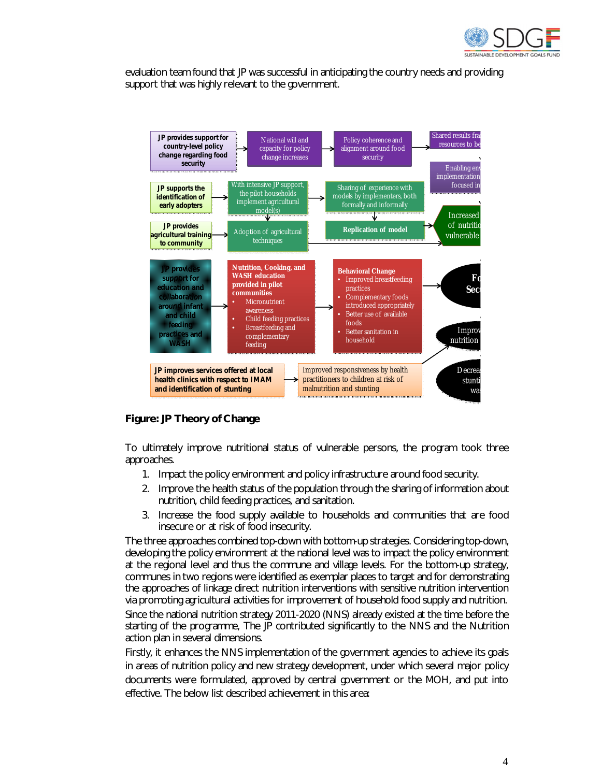

evaluation team found that JP was successful in anticipating the country needs and providing support that was highly relevant to the government.



# **Figure: JP Theory of Change**

To ultimately improve nutritional status of vulnerable persons, the program took three approaches.

- 1. Impact the policy environment and policy infrastructure around food security.
- 2. Improve the health status of the population through the sharing of information about nutrition, child feeding practices, and sanitation.
- 3. Increase the food supply available to households and communities that are food insecure or at risk of food insecurity.

The three approaches combined top-down with bottom-up strategies. Considering top-down, developing the policy environment at the national level was to impact the policy environment at the regional level and thus the commune and village levels. For the bottom-up strategy, communes in two regions were identified as exemplar places to target and for demonstrating the approaches of linkage direct nutrition interventions with sensitive nutrition intervention via promoting agricultural activities for improvement of household food supply and nutrition.

Since the national nutrition strategy 2011-2020 (NNS) already existed at the time before the starting of the programme, The JP contributed significantly to the NNS and the Nutrition action plan in several dimensions.

Firstly, it enhances the NNS implementation of the government agencies to achieve its goals in areas of nutrition policy and new strategy development, under which several major policy documents were formulated, approved by central government or the MOH, and put into effective. The below list described achievement in this area: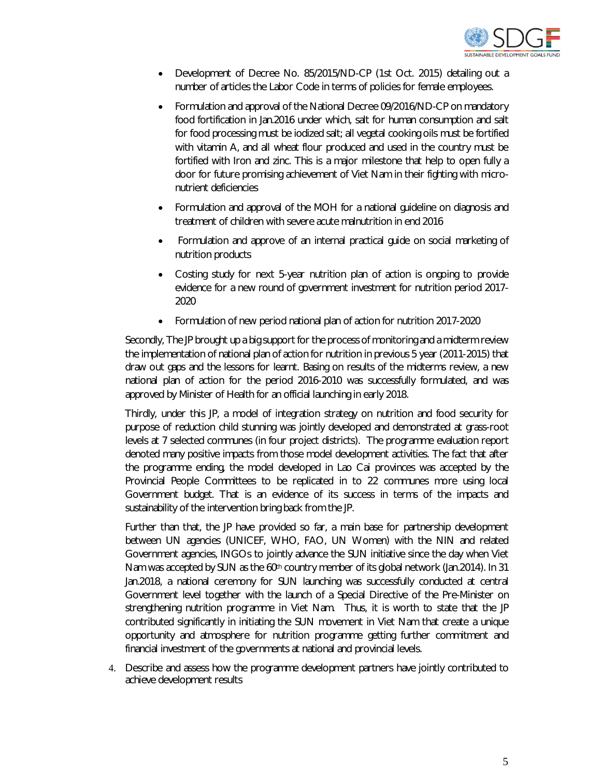

- Development of Decree No. 85/2015/ND-CP (1st Oct. 2015) detailing out a number of articles the Labor Code in terms of policies for female employees.
- Formulation and approval of the National Decree 09/2016/ND-CP on mandatory food fortification in Jan.2016 under which, salt for human consumption and salt for food processing must be iodized salt; all vegetal cooking oils must be fortified with vitamin A, and all wheat flour produced and used in the country must be fortified with Iron and zinc. This is a major milestone that help to open fully a door for future promising achievement of Viet Nam in their fighting with micronutrient deficiencies
- Formulation and approval of the MOH for a national guideline on diagnosis and treatment of children with severe acute malnutrition in end 2016
- Formulation and approve of an internal practical guide on social marketing of nutrition products
- Costing study for next 5-year nutrition plan of action is ongoing to provide evidence for a new round of government investment for nutrition period 2017- 2020
- Formulation of new period national plan of action for nutrition 2017-2020

Secondly, The JP brought up a big support for the process of monitoring and a midterm review the implementation of national plan of action for nutrition in previous 5 year (2011-2015) that draw out gaps and the lessons for learnt. Basing on results of the midterms review, a new national plan of action for the period 2016-2010 was successfully formulated, and was approved by Minister of Health for an official launching in early 2018.

Thirdly, under this JP, a model of integration strategy on nutrition and food security for purpose of reduction child stunning was jointly developed and demonstrated at grass-root levels at 7 selected communes (in four project districts). The programme evaluation report denoted many positive impacts from those model development activities. The fact that after the programme ending, the model developed in Lao Cai provinces was accepted by the Provincial People Committees to be replicated in to 22 communes more using local Government budget. That is an evidence of its success in terms of the impacts and sustainability of the intervention bring back from the JP.

Further than that, the JP have provided so far, a main base for partnership development between UN agencies (UNICEF, WHO, FAO, UN Women) with the NIN and related Government agencies, INGOs to jointly advance the SUN initiative since the day when Viet Nam was accepted by SUN as the 60<sup>th</sup> country member of its global network (Jan.2014). In 31 Jan.2018, a national ceremony for SUN launching was successfully conducted at central Government level together with the launch of a Special Directive of the Pre-Minister on strengthening nutrition programme in Viet Nam. Thus, it is worth to state that the JP contributed significantly in initiating the SUN movement in Viet Nam that create a unique opportunity and atmosphere for nutrition programme getting further commitment and financial investment of the governments at national and provincial levels.

4. Describe and assess how the programme development partners have jointly contributed to achieve development results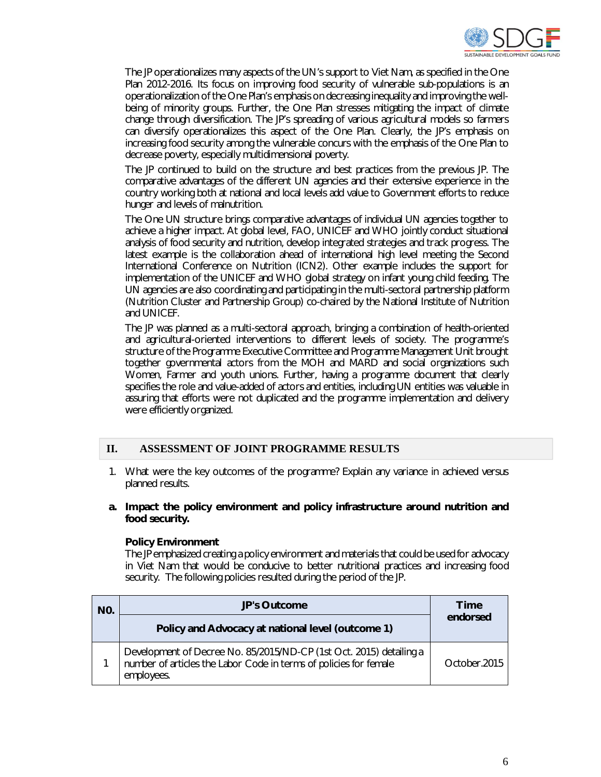

The JP operationalizes many aspects of the UN's support to Viet Nam, as specified in the One Plan 2012-2016. Its focus on improving food security of vulnerable sub-populations is an operationalization of the One Plan's emphasis on decreasing inequality and improving the wellbeing of minority groups. Further, the One Plan stresses mitigating the impact of climate change through diversification. The JP's spreading of various agricultural models so farmers can diversify operationalizes this aspect of the One Plan. Clearly, the JP's emphasis on increasing food security among the vulnerable concurs with the emphasis of the One Plan to decrease poverty, especially multidimensional poverty.

The JP continued to build on the structure and best practices from the previous JP. The comparative advantages of the different UN agencies and their extensive experience in the country working both at national and local levels add value to Government efforts to reduce hunger and levels of malnutrition.

The One UN structure brings comparative advantages of individual UN agencies together to achieve a higher impact. At global level, FAO, UNICEF and WHO jointly conduct situational analysis of food security and nutrition, develop integrated strategies and track progress. The latest example is the collaboration ahead of international high level meeting the Second International Conference on Nutrition (ICN2). Other example includes the support for implementation of the UNICEF and WHO global strategy on infant young child feeding. The UN agencies are also coordinating and participating in the multi-sectoral partnership platform (Nutrition Cluster and Partnership Group) co-chaired by the National Institute of Nutrition and UNICEF.

The JP was planned as a multi-sectoral approach, bringing a combination of health-oriented and agricultural-oriented interventions to different levels of society. The programme's structure of the Programme Executive Committee and Programme Management Unit brought together governmental actors from the MOH and MARD and social organizations such Women, Farmer and youth unions. Further, having a programme document that clearly specifies the role and value-added of actors and entities, including UN entities was valuable in assuring that efforts were not duplicated and the programme implementation and delivery were efficiently organized.

## **II. ASSESSMENT OF JOINT PROGRAMME RESULTS**

- 1. What were the key outcomes of the programme? Explain any variance in achieved versus planned results.
- **a. Impact the policy environment and policy infrastructure around nutrition and food security.**

#### **Policy Environment**

The JP emphasized creating a policy environment and materials that could be used for advocacy in Viet Nam that would be conducive to better nutritional practices and increasing food security. The following policies resulted during the period of the JP.

| N <sub>0</sub> | <b>JP's Outcome</b>                                                                                                                                    | <b>Time</b><br>endorsed |
|----------------|--------------------------------------------------------------------------------------------------------------------------------------------------------|-------------------------|
|                | Policy and Advocacy at national level (outcome 1)                                                                                                      |                         |
|                | Development of Decree No. 85/2015/ND-CP (1st Oct. 2015) detailing a<br>number of articles the Labor Code in terms of policies for female<br>employees. | October.2015            |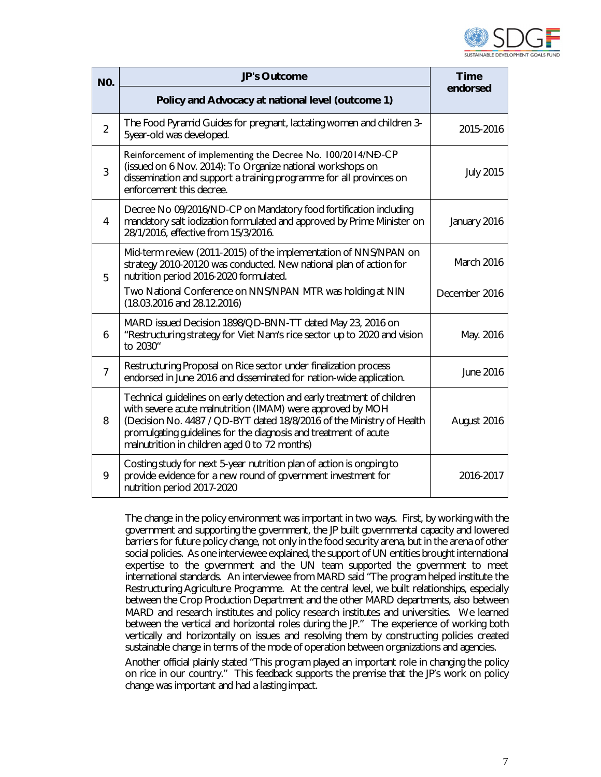

| <b>NO.</b>     | <b>JP's Outcome</b>                                                                                                                                                                                                                                                                                                                 | <b>Time</b>      |
|----------------|-------------------------------------------------------------------------------------------------------------------------------------------------------------------------------------------------------------------------------------------------------------------------------------------------------------------------------------|------------------|
|                | Policy and Advocacy at national level (outcome 1)                                                                                                                                                                                                                                                                                   | endorsed         |
| $\overline{2}$ | The Food Pyramid Guides for pregnant, lactating women and children 3-<br>5year-old was developed.                                                                                                                                                                                                                                   | 2015-2016        |
| 3              | Reinforcement of implementing the Decree No. 100/2014/NĐ-CP<br>(issued on 6 Nov. 2014): To Organize national workshops on<br>dissemination and support a training programme for all provinces on<br>enforcement this decree.                                                                                                        | <b>July 2015</b> |
| 4              | Decree No 09/2016/ND-CP on Mandatory food fortification including<br>mandatory salt iodization formulated and approved by Prime Minister on<br>28/1/2016, effective from 15/3/2016.                                                                                                                                                 | January 2016     |
| 5              | Mid-term review (2011-2015) of the implementation of NNS/NPAN on<br>strategy 2010-20120 was conducted. New national plan of action for<br>nutrition period 2016-2020 formulated.                                                                                                                                                    | March 2016       |
|                | Two National Conference on NNS/NPAN MTR was holding at NIN<br>$(18.03.2016$ and $28.12.2016)$                                                                                                                                                                                                                                       | December 2016    |
| 6              | MARD issued Decision 1898/QD-BNN-TT dated May 23, 2016 on<br>"Restructuring strategy for Viet Nam's rice sector up to 2020 and vision<br>to 2030"                                                                                                                                                                                   | May. 2016        |
| $\overline{7}$ | Restructuring Proposal on Rice sector under finalization process<br>endorsed in June 2016 and disseminated for nation-wide application.                                                                                                                                                                                             | June 2016        |
| 8              | Technical guidelines on early detection and early treatment of children<br>with severe acute malnutrition (IMAM) were approved by MOH<br>(Decision No. 4487 / QD-BYT dated 18/8/2016 of the Ministry of Health<br>promulgating guidelines for the diagnosis and treatment of acute<br>malnutrition in children aged 0 to 72 months) | August 2016      |
| 9              | Costing study for next 5-year nutrition plan of action is ongoing to<br>provide evidence for a new round of government investment for<br>nutrition period 2017-2020                                                                                                                                                                 | 2016-2017        |

The change in the policy environment was important in two ways. First, by working with the government and supporting the government, the JP built governmental capacity and lowered barriers for future policy change, not only in the food security arena, but in the arena of other social policies. As one interviewee explained, the support of UN entities brought international expertise to the government and the UN team supported the government to meet international standards. An interviewee from MARD said "The program helped institute the Restructuring Agriculture Programme. At the central level, we built relationships, especially between the Crop Production Department and the other MARD departments, also between MARD and research institutes and policy research institutes and universities. We learned between the vertical and horizontal roles during the JP." The experience of working both vertically and horizontally on issues and resolving them by constructing policies created sustainable change in terms of the mode of operation between organizations and agencies.

Another official plainly stated "This program played an important role in changing the policy on rice in our country." This feedback supports the premise that the JP's work on policy change was important and had a lasting impact.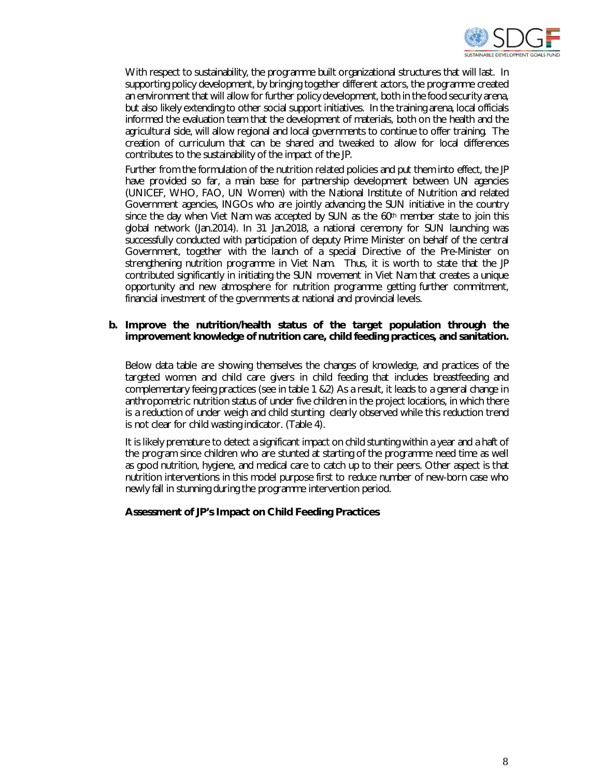

With respect to sustainability, the programme built organizational structures that will last. In supporting policy development, by bringing together different actors, the programme created an environment that will allow for further policy development, both in the food security arena, but also likely extending to other social support initiatives. In the training arena, local officials informed the evaluation team that the development of materials, both on the health and the agricultural side, will allow regional and local governments to continue to offer training. The creation of curriculum that can be shared and tweaked to allow for local differences contributes to the sustainability of the impact of the JP.

Further from the formulation of the nutrition related policies and put them into effect, the JP have provided so far, a main base for partnership development between UN agencies (UNICEF, WHO, FAO, UN Women) with the National Institute of Nutrition and related Government agencies, INGOs who are jointly advancing the SUN initiative in the country since the day when Viet Nam was accepted by SUN as the  $60<sup>th</sup>$  member state to join this global network (Jan.2014). In 31 Jan.2018, a national ceremony for SUN launching was successfully conducted with participation of deputy Prime Minister on behalf of the central Government, together with the launch of a special Directive of the Pre-Minister on strengthening nutrition programme in Viet Nam. Thus, it is worth to state that the JP contributed significantly in initiating the SUN movement in Viet Nam that creates a unique opportunity and new atmosphere for nutrition programme getting further commitment, financial investment of the governments at national and provincial levels.

#### **b. Improve the nutrition/health status of the target population through the improvement knowledge of nutrition care, child feeding practices, and sanitation.**

Below data table are showing themselves the changes of knowledge, and practices of the targeted women and child care givers in child feeding that includes breastfeeding and complementary feeing practices (see in table 1 &2) As a result, it leads to a general change in anthropometric nutrition status of under five children in the project locations, in which there is a reduction of under weigh and child stunting clearly observed while this reduction trend is not clear for child wasting indicator. (Table 4).

It is likely premature to detect a significant impact on child stunting within a year and a haft of the program since children who are stunted at starting of the programme need time as well as good nutrition, hygiene, and medical care to catch up to their peers. Other aspect is that nutrition interventions in this model purpose first to reduce number of new-born case who newly fall in stunning during the programme intervention period.

#### **Assessment of JP's Impact on Child Feeding Practices**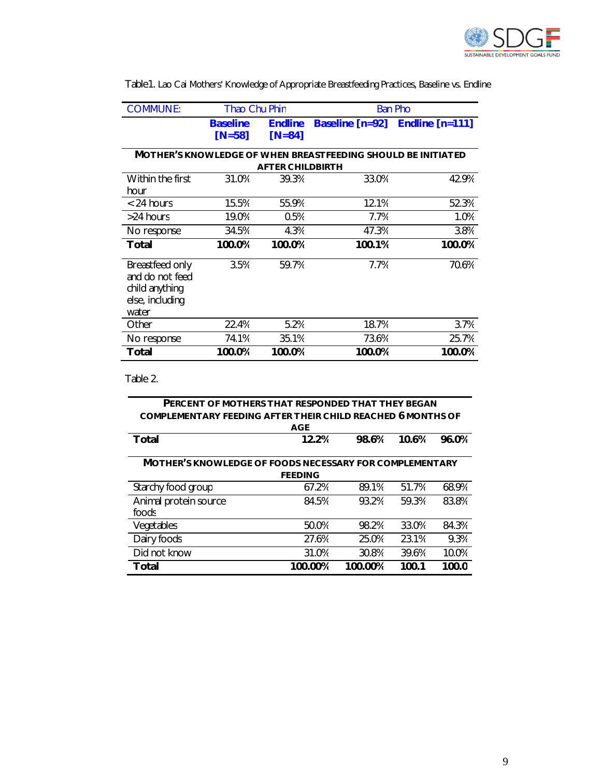

| <b>COMMUNE:</b>                                                                  | <b>Thao Chu Phin</b>        |                                |                                                              | <b>Ban Pho</b>                  |
|----------------------------------------------------------------------------------|-----------------------------|--------------------------------|--------------------------------------------------------------|---------------------------------|
|                                                                                  | <b>Baseline</b><br>$[N=58]$ | <b>Endline</b><br>$[ N = 84 ]$ |                                                              | Baseline [n=92] Endline [n=111] |
|                                                                                  |                             | <b>AFTER CHILDBIRTH</b>        | MOTHER'S KNOWLEDGE OF WHEN BREASTFEEDING SHOULD BE INITIATED |                                 |
| Within the first<br>hour                                                         | 31.0%                       | 39.3%                          | 33.0%                                                        | 42.9%                           |
| $< 24$ hours                                                                     | 15.5%                       | 55.9%                          | 12.1%                                                        | 52.3%                           |
| >24 hours                                                                        | 19.0%                       | 0.5%                           | 7.7%                                                         | 1.0%                            |
| No response                                                                      | 34.5%                       | 4.3%                           | 47.3%                                                        | 3.8%                            |
| Total                                                                            | 100.0%                      | 100.0%                         | 100.1%                                                       | 100.0%                          |
| Breastfeed only<br>and do not feed<br>child anything<br>else, including<br>water | 3.5%                        | 59.7%                          | 7.7%                                                         | 70.6%                           |
| Other                                                                            | 22.4%                       | 5.2%                           | 18.7%                                                        | 3.7%                            |
| No response                                                                      | 74.1%                       | 35.1%                          | 73.6%                                                        | 25.7%                           |
| <b>Total</b>                                                                     | 100.0%                      | 100.0%                         | 100.0%                                                       | 100.0%                          |

Table1. Lao Cai Mothers' Knowledge of Appropriate Breastfeeding Practices, Baseline vs. Endline

Table 2.

| PERCENT OF MOTHERS THAT RESPONDED THAT THEY BEGAN                  |                |         |       |       |
|--------------------------------------------------------------------|----------------|---------|-------|-------|
| <b>COMPLEMENTARY FEEDING AFTER THEIR CHILD REACHED 6 MONTHS OF</b> |                |         |       |       |
|                                                                    | <b>AGE</b>     |         |       |       |
| <b>Total</b>                                                       | 12.2%          | 98.6%   | 10.6% | 96.0% |
|                                                                    |                |         |       |       |
| <b>MOTHER'S KNOWLEDGE OF FOODS NECESSARY FOR COMPLEMENTARY</b>     |                |         |       |       |
|                                                                    | <b>FEEDING</b> |         |       |       |
| Starchy food group                                                 | 67.2%          | 89.1%   | 51.7% | 68.9% |
| Animal protein source                                              | 84.5%          | 93.2%   | 59.3% | 83.8% |
| foods                                                              |                |         |       |       |
| Vegetables                                                         | 50.0%          | 98.2%   | 33.0% | 84.3% |
| Dairy foods                                                        | 27.6%          | 25.0%   | 23.1% | 9.3%  |
| Did not know                                                       | 31.0%          | 30.8%   | 39.6% | 10.0% |
| Total                                                              | 100.00%        | 100.00% | 100.1 | 100.0 |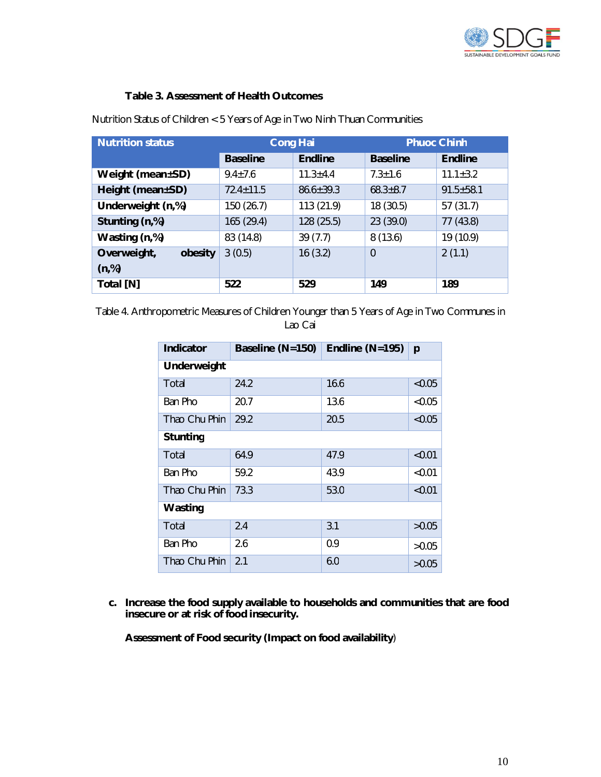

# **Table 3. Assessment of Health Outcomes**

| <b>Nutrition status</b> | <b>Cong Hai</b> |                |                 | <b>Phuoc Chinh</b> |
|-------------------------|-----------------|----------------|-----------------|--------------------|
|                         | <b>Baseline</b> | <b>Endline</b> | <b>Baseline</b> | <b>Endline</b>     |
| Weight (mean±SD)        | $9.4 \pm 7.6$   | $11.3 \pm 4.4$ | $7.3 \pm 1.6$   | $11.1 \pm 3.2$     |
| Height (mean±SD)        | $72.4 + 11.5$   | $86.6 + 39.3$  | $68.3 \pm 8.7$  | $91.5 \pm 58.1$    |
| Underweight (n,%)       | 150 (26.7)      | 113 (21.9)     | 18 (30.5)       | 57(31.7)           |
| Stunting (n,%)          | 165 (29.4)      | 128 (25.5)     | 23 (39.0)       | 77 (43.8)          |
| Wasting (n,%)           | 83 (14.8)       | 39(7.7)        | 8(13.6)         | 19 (10.9)          |
| Overweight,<br>obesity  | 3(0.5)          | 16(3.2)        | $\mathbf 0$     | 2(1.1)             |
| (n,%)                   |                 |                |                 |                    |
| Total [N]               | 522             | 529            | 149             | 189                |

Nutrition Status of Children < 5 Years of Age in Two Ninh Thuan Communities

Table 4. Anthropometric Measures of Children Younger than 5 Years of Age in Two Communes in Lao Cai

| Indicator       | Baseline (N=150) | Endline $(N=195)$ | p      |
|-----------------|------------------|-------------------|--------|
| Underweight     |                  |                   |        |
| Total           | 24.2             | 16.6              | < 0.05 |
| Ban Pho         | 20.7             | 13.6              | < 0.05 |
| Thao Chu Phin   | 29.2             | 20.5              | < 0.05 |
| <b>Stunting</b> |                  |                   |        |
| Total           | 64.9             | 47.9              | < 0.01 |
| Ban Pho         | 59.2             | 43.9              | < 0.01 |
| Thao Chu Phin   | 73.3             | 53.0              | < 0.01 |
| Wasting         |                  |                   |        |
| Total           | 2.4              | 3.1               | >0.05  |
| Ban Pho         | 2.6              | 0.9               | >0.05  |
| Thao Chu Phin   | 2.1              | 6.0               | >0.05  |

**c. Increase the food supply available to households and communities that are food insecure or at risk of food insecurity.** 

**Assessment of Food security (Impact on food availability**)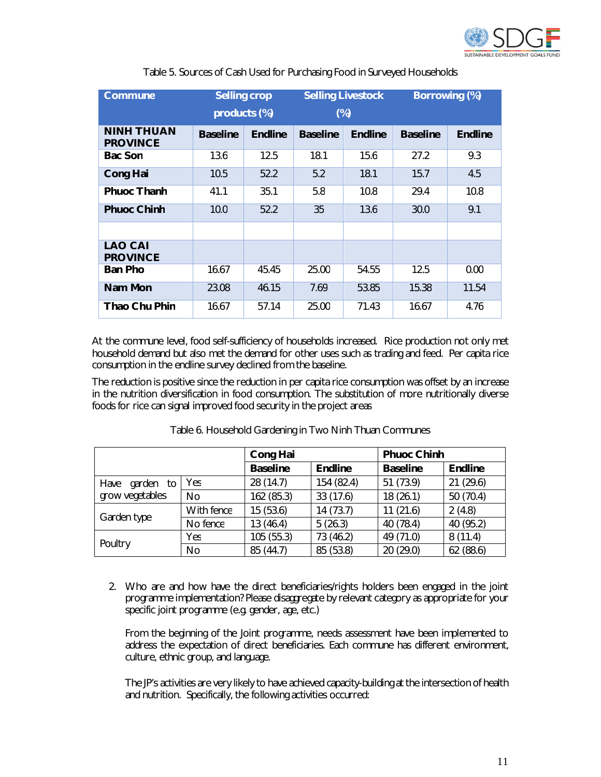

| Commune                              | <b>Selling crop</b> |                | <b>Selling Livestock</b> |                | <b>Borrowing (%)</b> |                |
|--------------------------------------|---------------------|----------------|--------------------------|----------------|----------------------|----------------|
|                                      | products (%)        |                |                          | $(\%)$         |                      |                |
| <b>NINH THUAN</b><br><b>PROVINCE</b> | <b>Baseline</b>     | <b>Endline</b> | <b>Baseline</b>          | <b>Endline</b> | <b>Baseline</b>      | <b>Endline</b> |
| <b>Bac Son</b>                       | 13.6                | 12.5           | 18.1                     | 15.6           | 27.2                 | 9.3            |
| <b>Cong Hai</b>                      | 10.5                | 52.2           | 5.2                      | 18.1           | 15.7                 | 4.5            |
| <b>Phuoc Thanh</b>                   | 41.1                | 35.1           | 5.8                      | 10.8           | 29.4                 | 10.8           |
| <b>Phuoc Chinh</b>                   | 10.0                | 52.2           | 35                       | 13.6           | 30.0                 | 9.1            |
|                                      |                     |                |                          |                |                      |                |
| <b>LAO CAI</b><br><b>PROVINCE</b>    |                     |                |                          |                |                      |                |
| <b>Ban Pho</b>                       | 16.67               | 45.45          | 25.00                    | 54.55          | 12.5                 | 0.00           |
| <b>Nam Mon</b>                       | 23.08               | 46.15          | 7.69                     | 53.85          | 15.38                | 11.54          |
| <b>Thao Chu Phin</b>                 | 16.67               | 57.14          | 25.00                    | 71.43          | 16.67                | 4.76           |

Table 5. Sources of Cash Used for Purchasing Food in Surveyed Households

At the commune level, food self-sufficiency of households increased. Rice production not only met household demand but also met the demand for other uses such as trading and feed. Per capita rice consumption in the endline survey declined from the baseline.

The reduction is positive since the reduction in per capita rice consumption was offset by an increase in the nutrition diversification in food consumption. The substitution of more nutritionally diverse foods for rice can signal improved food security in the project areas

|                   |            | <b>Cong Hai</b> |                | <b>Phuoc Chinh</b> |                |
|-------------------|------------|-----------------|----------------|--------------------|----------------|
|                   |            | <b>Baseline</b> | <b>Endline</b> | <b>Baseline</b>    | <b>Endline</b> |
| Have<br>garden to | Yes        | 28 (14.7)       | 154 (82.4)     | 51 (73.9)          | 21(29.6)       |
| grow vegetables   | No         | 162 (85.3)      | 33(17.6)       | 18 (26.1)          | 50 (70.4)      |
|                   | With fence | 15(53.6)        | 14(73.7)       | 11(21.6)           | 2(4.8)         |
| Garden type       | No fence   | 13 (46.4)       | 5(26.3)        | 40(78.4)           | 40 (95.2)      |
| Poultry           | Yes        | 105 (55.3)      | 73 (46.2)      | 49 (71.0)          | 8(11.4)        |
|                   | No         | 85 (44.7)       | 85 (53.8)      | 20(29.0)           | 62 (88.6)      |

Table 6. Household Gardening in Two Ninh Thuan Communes

2. Who are and how have the direct beneficiaries/rights holders been engaged in the joint programme implementation? Please disaggregate by relevant category as appropriate for your specific joint programme (e.g. gender, age, etc.)

From the beginning of the Joint programme, needs assessment have been implemented to address the expectation of direct beneficiaries. Each commune has different environment, culture, ethnic group, and language.

The JP's activities are very likely to have achieved capacity-building at the intersection of health and nutrition. Specifically, the following activities occurred: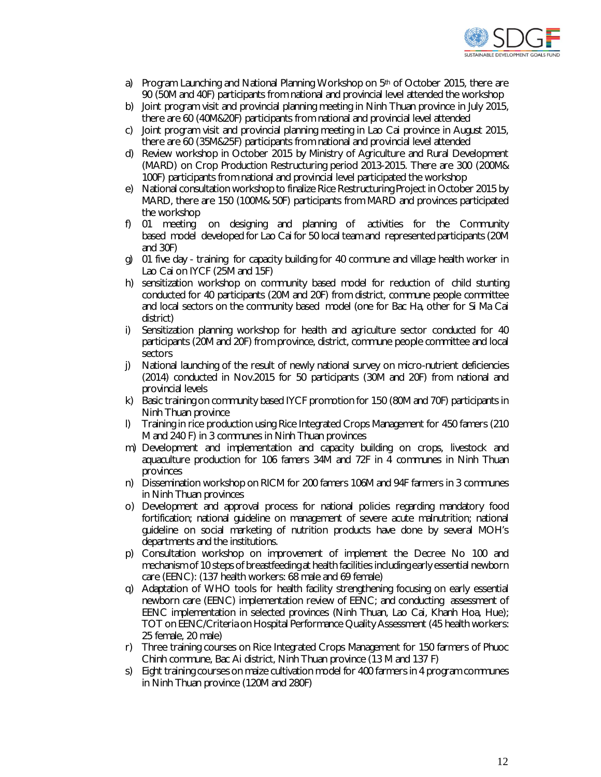

- a) Program Launching and National Planning Workshop on  $5<sup>th</sup>$  of October 2015, there are 90 (50M and 40F) participants from national and provincial level attended the workshop
- b) Joint program visit and provincial planning meeting in Ninh Thuan province in July 2015, there are 60 (40M&20F) participants from national and provincial level attended
- c) Joint program visit and provincial planning meeting in Lao Cai province in August 2015, there are 60 (35M&25F) participants from national and provincial level attended
- d) Review workshop in October 2015 by Ministry of Agriculture and Rural Development (MARD) on Crop Production Restructuring period 2013-2015. There are 300 (200M& 100F) participants from national and provincial level participated the workshop
- e) National consultation workshop to finalize Rice Restructuring Project in October 2015 by MARD, there are 150 (100M& 50F) participants from MARD and provinces participated the workshop
- f) 01 meeting on designing and planning of activities for the Community based model developed for Lao Cai for 50 local team and represented participants (20M and 30F)
- g) 01 five day training for capacity building for 40 commune and village health worker in Lao Cai on IYCF (25M and 15F)
- h) sensitization workshop on community based model for reduction of child stunting conducted for 40 participants (20M and 20F) from district, commune people committee and local sectors on the community based model (one for Bac Ha, other for Si Ma Cai district)
- i) Sensitization planning workshop for health and agriculture sector conducted for 40 participants (20M and 20F) from province, district, commune people committee and local sectors
- j) National launching of the result of newly national survey on micro-nutrient deficiencies (2014) conducted in Nov.2015 for 50 participants (30M and 20F) from national and provincial levels
- k) Basic training on community based IYCF promotion for 150 (80M and 70F) participants in Ninh Thuan province
- l) Training in rice production using Rice Integrated Crops Management for 450 famers (210 M and 240 F) in 3 communes in Ninh Thuan provinces
- m) Development and implementation and capacity building on crops, livestock and aquaculture production for 106 famers 34M and 72F in 4 communes in Ninh Thuan provinces
- n) Dissemination workshop on RICM for 200 famers 106M and 94F farmers in 3 communes in Ninh Thuan provinces
- o) Development and approval process for national policies regarding mandatory food fortification; national guideline on management of severe acute malnutrition; national guideline on social marketing of nutrition products have done by several MOH's departments and the institutions.
- p) Consultation workshop on improvement of implement the Decree No 100 and mechanism of 10 steps of breastfeeding at health facilities including early essential newborn care (EENC): (137 health workers: 68 male and 69 female)
- q) Adaptation of WHO tools for health facility strengthening focusing on early essential newborn care (EENC) implementation review of EENC; and conducting assessment of EENC implementation in selected provinces (Ninh Thuan, Lao Cai, Khanh Hoa, Hue); TOT on EENC/Criteria on Hospital Performance Quality Assessment (45 health workers: 25 female, 20 male)
- r) Three training courses on Rice Integrated Crops Management for 150 farmers of Phuoc Chinh commune, Bac Ai district, Ninh Thuan province (13 M and 137 F)
- s) Eight training courses on maize cultivation model for 400 farmers in 4 program communes in Ninh Thuan province (120M and 280F)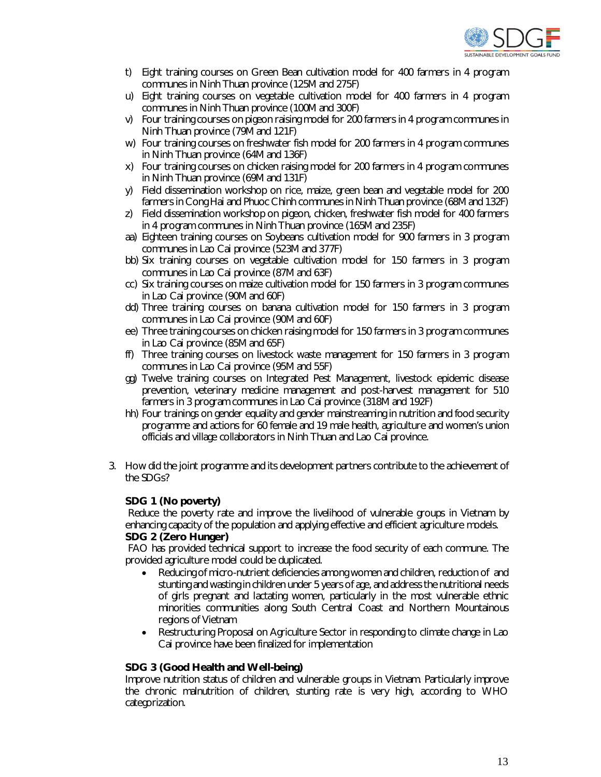

- t) Eight training courses on Green Bean cultivation model for 400 farmers in 4 program communes in Ninh Thuan province (125M and 275F)
- u) Eight training courses on vegetable cultivation model for 400 farmers in 4 program communes in Ninh Thuan province (100M and 300F)
- v) Four training courses on pigeon raising model for 200 farmers in 4 program communes in Ninh Thuan province (79M and 121F)
- w) Four training courses on freshwater fish model for 200 farmers in 4 program communes in Ninh Thuan province (64M and 136F)
- x) Four training courses on chicken raising model for 200 farmers in 4 program communes in Ninh Thuan province (69M and 131F)
- y) Field dissemination workshop on rice, maize, green bean and vegetable model for 200 farmers in Cong Hai and Phuoc Chinh communes in Ninh Thuan province (68M and 132F)
- z) Field dissemination workshop on pigeon, chicken, freshwater fish model for 400 farmers in 4 program communes in Ninh Thuan province (165M and 235F)
- aa) Eighteen training courses on Soybeans cultivation model for 900 farmers in 3 program communes in Lao Cai province (523M and 377F)
- bb) Six training courses on vegetable cultivation model for 150 farmers in 3 program communes in Lao Cai province (87M and 63F)
- cc) Six training courses on maize cultivation model for 150 farmers in 3 program communes in Lao Cai province (90M and 60F)
- dd) Three training courses on banana cultivation model for 150 farmers in 3 program communes in Lao Cai province (90M and 60F)
- ee) Three training courses on chicken raising model for 150 farmers in 3 program communes in Lao Cai province (85M and 65F)
- ff) Three training courses on livestock waste management for 150 farmers in 3 program communes in Lao Cai province (95M and 55F)
- gg) Twelve training courses on Integrated Pest Management, livestock epidemic disease prevention, veterinary medicine management and post-harvest management for 510 farmers in 3 program communes in Lao Cai province (318M and 192F)
- hh) Four trainings on gender equality and gender mainstreaming in nutrition and food security programme and actions for 60 female and 19 male health, agriculture and women's union officials and village collaborators in Ninh Thuan and Lao Cai province.
- 3. How did the joint programme and its development partners contribute to the achievement of the SDGs?

#### **SDG 1 (No poverty)**

Reduce the poverty rate and improve the livelihood of vulnerable groups in Vietnam by enhancing capacity of the population and applying effective and efficient agriculture models. **SDG 2 (Zero Hunger)**

FAO has provided technical support to increase the food security of each commune. The provided agriculture model could be duplicated.

- Reducing of micro-nutrient deficiencies among women and children, reduction of and stunting and wasting in children under 5 years of age, and address the nutritional needs of girls pregnant and lactating women, particularly in the most vulnerable ethnic minorities communities along South Central Coast and Northern Mountainous regions of Vietnam
- Restructuring Proposal on Agriculture Sector in responding to climate change in Lao Cai province have been finalized for implementation

#### **SDG 3 (Good Health and Well-being)**

Improve nutrition status of children and vulnerable groups in Vietnam. Particularly improve the chronic malnutrition of children, stunting rate is very high, according to WHO categorization.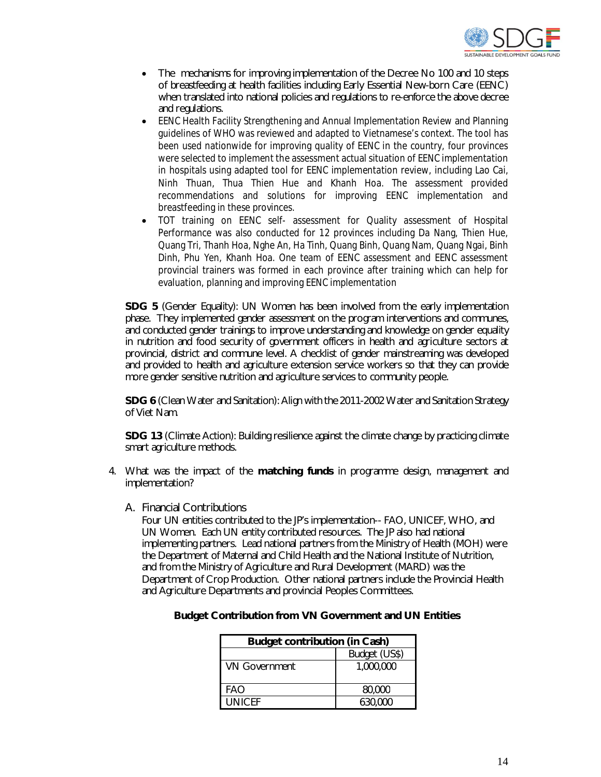

- The mechanisms for improving implementation of the Decree No 100 and 10 steps of breastfeeding at health facilities including Early Essential New-born Care (EENC) when translated into national policies and regulations to re-enforce the above decree and regulations.
- EENC Health Facility Strengthening and Annual Implementation Review and Planning guidelines of WHO was reviewed and adapted to Vietnamese's context. The tool has been used nationwide for improving quality of EENC in the country, four provinces were selected to implement the assessment actual situation of EENC implementation in hospitals using adapted tool for EENC implementation review, including Lao Cai, Ninh Thuan, Thua Thien Hue and Khanh Hoa. The assessment provided recommendations and solutions for improving EENC implementation and breastfeeding in these provinces.
- TOT training on EENC self- assessment for Quality assessment of Hospital Performance was also conducted for 12 provinces including Da Nang, Thien Hue, Quang Tri, Thanh Hoa, Nghe An, Ha Tinh, Quang Binh, Quang Nam, Quang Ngai, Binh Dinh, Phu Yen, Khanh Hoa. One team of EENC assessment and EENC assessment provincial trainers was formed in each province after training which can help for evaluation, planning and improving EENC implementation

**SDG 5** (Gender Equality): UN Women has been involved from the early implementation phase. They implemented gender assessment on the program interventions and communes, and conducted gender trainings to improve understanding and knowledge on gender equality in nutrition and food security of government officers in health and agriculture sectors at provincial, district and commune level. A checklist of gender mainstreaming was developed and provided to health and agriculture extension service workers so that they can provide more gender sensitive nutrition and agriculture services to community people.

**SDG 6** (Clean Water and Sanitation): Align with the 2011-2002 Water and Sanitation Strategy of Viet Nam.

**SDG 13** (Climate Action): Building resilience against the climate change by practicing climate smart agriculture methods.

- 4. What was the impact of the **matching funds** in programme design, management and implementation?
	- A. Financial Contributions

Four UN entities contributed to the JP's implementation-- FAO, UNICEF, WHO, and UN Women. Each UN entity contributed resources. The JP also had national implementing partners. Lead national partners from the Ministry of Health (MOH) were the Department of Maternal and Child Health and the National Institute of Nutrition, and from the Ministry of Agriculture and Rural Development (MARD) was the Department of Crop Production. Other national partners include the Provincial Health and Agriculture Departments and provincial Peoples Committees.

| <b>Budget contribution (in Cash)</b> |               |  |
|--------------------------------------|---------------|--|
|                                      | Budget (US\$) |  |
| <b>VN Government</b>                 | 1,000,000     |  |
| FAO                                  | 80,000        |  |
| <b>UNICEE</b>                        | 630,000       |  |

#### **Budget Contribution from VN Government and UN Entities**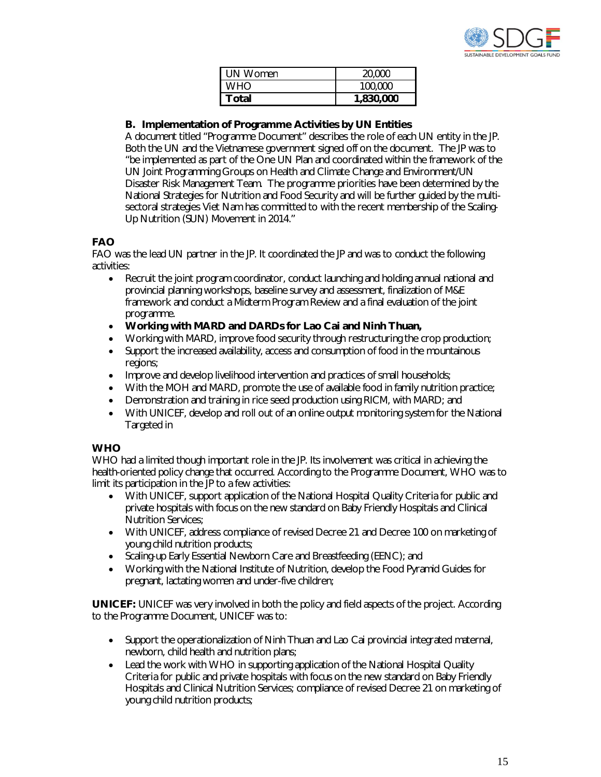

| UN Women   | 20,000    |
|------------|-----------|
| <b>WHO</b> | 100,000   |
| Total      | 1,830,000 |

## **B. Implementation of Programme Activities by UN Entities**

A document titled "Programme Document" describes the role of each UN entity in the JP. Both the UN and the Vietnamese government signed off on the document. The JP was to "be implemented as part of the One UN Plan and coordinated within the framework of the UN Joint Programming Groups on Health and Climate Change and Environment/UN Disaster Risk Management Team. The programme priorities have been determined by the National Strategies for Nutrition and Food Security and will be further guided by the multisectoral strategies Viet Nam has committed to with the recent membership of the Scaling-Up Nutrition (SUN) Movement in 2014."

# **FAO**

FAO was the lead UN partner in the JP. It coordinated the JP and was to conduct the following activities:

- Recruit the joint program coordinator, conduct launching and holding annual national and provincial planning workshops, baseline survey and assessment, finalization of M&E framework and conduct a Midterm Program Review and a final evaluation of the joint programme.
- **Working with MARD and DARDs for Lao Cai and Ninh Thuan,**
- Working with MARD, improve food security through restructuring the crop production;
- Support the increased availability, access and consumption of food in the mountainous regions;
- Improve and develop livelihood intervention and practices of small households;
- With the MOH and MARD, promote the use of available food in family nutrition practice;
- Demonstration and training in rice seed production using RICM, with MARD; and
- With UNICEF, develop and roll out of an online output monitoring system for the National Targeted in

#### **WHO**

WHO had a limited though important role in the JP. Its involvement was critical in achieving the health-oriented policy change that occurred. According to the Programme Document, WHO was to limit its participation in the JP to a few activities:

- With UNICEF, support application of the National Hospital Quality Criteria for public and private hospitals with focus on the new standard on Baby Friendly Hospitals and Clinical Nutrition Services;
- With UNICEF, address compliance of revised Decree 21 and Decree 100 on marketing of young child nutrition products;
- Scaling-up Early Essential Newborn Care and Breastfeeding (EENC); and
- Working with the National Institute of Nutrition, develop the Food Pyramid Guides for pregnant, lactating women and under-five children;

**UNICEF:** UNICEF was very involved in both the policy and field aspects of the project. According to the Programme Document, UNICEF was to:

- Support the operationalization of Ninh Thuan and Lao Cai provincial integrated maternal, newborn, child health and nutrition plans;
- Lead the work with WHO in supporting application of the National Hospital Quality Criteria for public and private hospitals with focus on the new standard on Baby Friendly Hospitals and Clinical Nutrition Services; compliance of revised Decree 21 on marketing of young child nutrition products;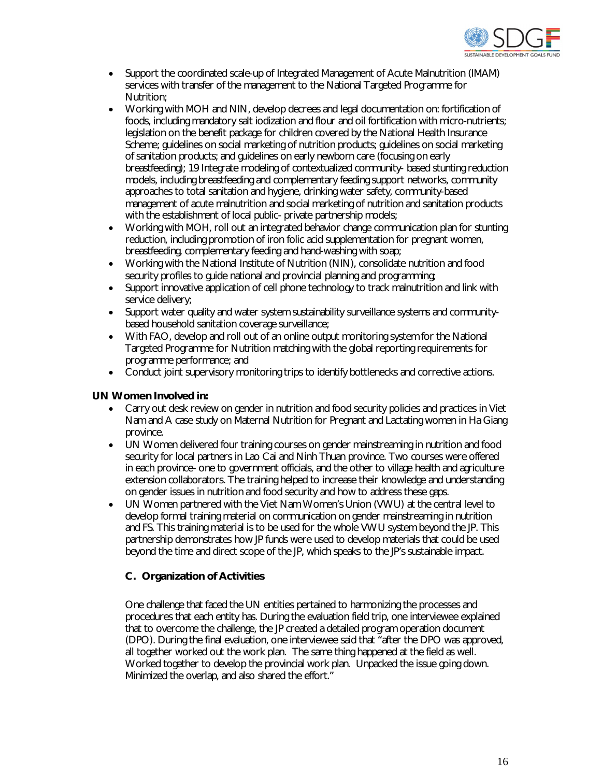

- Support the coordinated scale-up of Integrated Management of Acute Malnutrition (IMAM) services with transfer of the management to the National Targeted Programme for Nutrition;
- Working with MOH and NIN, develop decrees and legal documentation on: fortification of foods, including mandatory salt iodization and flour and oil fortification with micro-nutrients; legislation on the benefit package for children covered by the National Health Insurance Scheme; guidelines on social marketing of nutrition products; guidelines on social marketing of sanitation products; and guidelines on early newborn care (focusing on early breastfeeding); 19 Integrate modeling of contextualized community- based stunting reduction models, including breastfeeding and complementary feeding support networks, community approaches to total sanitation and hygiene, drinking water safety, community-based management of acute malnutrition and social marketing of nutrition and sanitation products with the establishment of local public- private partnership models;
- Working with MOH, roll out an integrated behavior change communication plan for stunting reduction, including promotion of iron folic acid supplementation for pregnant women, breastfeeding, complementary feeding and hand-washing with soap;
- Working with the National Institute of Nutrition (NIN), consolidate nutrition and food security profiles to guide national and provincial planning and programming;
- Support innovative application of cell phone technology to track malnutrition and link with service delivery;
- Support water quality and water system sustainability surveillance systems and communitybased household sanitation coverage surveillance;
- With FAO, develop and roll out of an online output monitoring system for the National Targeted Programme for Nutrition matching with the global reporting requirements for programme performance; and
- Conduct joint supervisory monitoring trips to identify bottlenecks and corrective actions.

#### **UN Women Involved in:**

- Carry out desk review on gender in nutrition and food security policies and practices in Viet Nam and A case study on Maternal Nutrition for Pregnant and Lactating women in Ha Giang province.
- UN Women delivered four training courses on gender mainstreaming in nutrition and food security for local partners in Lao Cai and Ninh Thuan province. Two courses were offered in each province- one to government officials, and the other to village health and agriculture extension collaborators. The training helped to increase their knowledge and understanding on gender issues in nutrition and food security and how to address these gaps.
- UN Women partnered with the Viet Nam Women's Union (VWU) at the central level to develop formal training material on communication on gender mainstreaming in nutrition and FS. This training material is to be used for the whole VWU system beyond the JP. This partnership demonstrates how JP funds were used to develop materials that could be used beyond the time and direct scope of the JP, which speaks to the JP's sustainable impact.

#### **C. Organization of Activities**

One challenge that faced the UN entities pertained to harmonizing the processes and procedures that each entity has. During the evaluation field trip, one interviewee explained that to overcome the challenge, the JP created a detailed program operation document (DPO). During the final evaluation, one interviewee said that "after the DPO was approved, all together worked out the work plan. The same thing happened at the field as well. Worked together to develop the provincial work plan. Unpacked the issue going down. Minimized the overlap, and also shared the effort."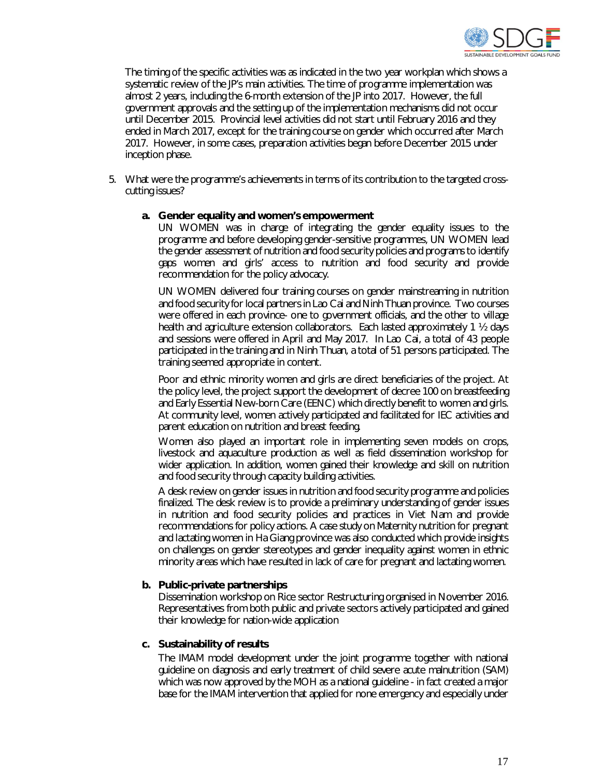

The timing of the specific activities was as indicated in the two year workplan which shows a systematic review of the JP's main activities. The time of programme implementation was almost 2 years, including the 6-month extension of the JP into 2017. However, the full government approvals and the setting up of the implementation mechanisms did not occur until December 2015. Provincial level activities did not start until February 2016 and they ended in March 2017, except for the training course on gender which occurred after March 2017. However, in some cases, preparation activities began before December 2015 under inception phase.

5. What were the programme's achievements in terms of its contribution to the targeted crosscutting issues?

#### **a. Gender equality and women's empowerment**

UN WOMEN was in charge of integrating the gender equality issues to the programme and before developing gender-sensitive programmes, UN WOMEN lead the gender assessment of nutrition and food security policies and programs to identify gaps women and girls' access to nutrition and food security and provide recommendation for the policy advocacy.

UN WOMEN delivered four training courses on gender mainstreaming in nutrition and food security for local partners in Lao Cai and Ninh Thuan province. Two courses were offered in each province- one to government officials, and the other to village health and agriculture extension collaborators. Each lasted approximately 1 ½ days and sessions were offered in April and May 2017. In Lao Cai, a total of 43 people participated in the training and in Ninh Thuan, a total of 51 persons participated. The training seemed appropriate in content.

Poor and ethnic minority women and girls are direct beneficiaries of the project. At the policy level, the project support the development of decree 100 on breastfeeding and Early Essential New-born Care (EENC) which directly benefit to women and girls. At community level, women actively participated and facilitated for IEC activities and parent education on nutrition and breast feeding.

Women also played an important role in implementing seven models on crops, livestock and aquaculture production as well as field dissemination workshop for wider application. In addition, women gained their knowledge and skill on nutrition and food security through capacity building activities.

A desk review on gender issues in nutrition and food security programme and policies finalized. The desk review is to provide a preliminary understanding of gender issues in nutrition and food security policies and practices in Viet Nam and provide recommendations for policy actions. A case study on Maternity nutrition for pregnant and lactating women in Ha Giang province was also conducted which provide insights on challenges on gender stereotypes and gender inequality against women in ethnic minority areas which have resulted in lack of care for pregnant and lactating women.

#### **b. Public-private partnerships**

Dissemination workshop on Rice sector Restructuring organised in November 2016. Representatives from both public and private sectors actively participated and gained their knowledge for nation-wide application

#### **c. Sustainability of results**

The IMAM model development under the joint programme together with national guideline on diagnosis and early treatment of child severe acute malnutrition (SAM) which was now approved by the MOH as a national guideline - in fact created a major base for the IMAM intervention that applied for none emergency and especially under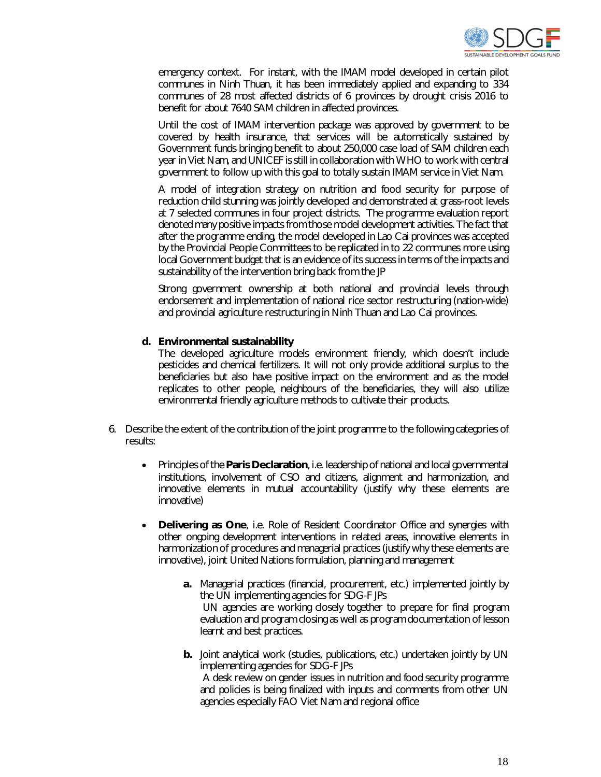

emergency context. For instant, with the IMAM model developed in certain pilot communes in Ninh Thuan, it has been immediately applied and expanding to 334 communes of 28 most affected districts of 6 provinces by drought crisis 2016 to benefit for about 7640 SAM children in affected provinces.

Until the cost of IMAM intervention package was approved by government to be covered by health insurance, that services will be automatically sustained by Government funds bringing benefit to about 250,000 case load of SAM children each year in Viet Nam, and UNICEF is still in collaboration with WHO to work with central government to follow up with this goal to totally sustain IMAM service in Viet Nam.

A model of integration strategy on nutrition and food security for purpose of reduction child stunning was jointly developed and demonstrated at grass-root levels at 7 selected communes in four project districts. The programme evaluation report denoted many positive impacts from those model development activities. The fact that after the programme ending, the model developed in Lao Cai provinces was accepted by the Provincial People Committees to be replicated in to 22 communes more using local Government budget that is an evidence of its success in terms of the impacts and sustainability of the intervention bring back from the JP

Strong government ownership at both national and provincial levels through endorsement and implementation of national rice sector restructuring (nation-wide) and provincial agriculture restructuring in Ninh Thuan and Lao Cai provinces.

#### **d. Environmental sustainability**

The developed agriculture models environment friendly, which doesn't include pesticides and chemical fertilizers. It will not only provide additional surplus to the beneficiaries but also have positive impact on the environment and as the model replicates to other people, neighbours of the beneficiaries, they will also utilize environmental friendly agriculture methods to cultivate their products.

- 6. Describe the extent of the contribution of the joint programme to the following categories of results:
	- Principles of the **Paris Declaration**, i.e. leadership of national and local governmental institutions, involvement of CSO and citizens, alignment and harmonization, and innovative elements in mutual accountability (justify why these elements are innovative)
	- **Delivering as One**, i.e. Role of Resident Coordinator Office and synergies with other ongoing development interventions in related areas, innovative elements in harmonization of procedures and managerial practices (justify why these elements are innovative), joint United Nations formulation, planning and management
		- **a.** Managerial practices (financial, procurement, etc.) implemented jointly by the UN implementing agencies for SDG-F JPs UN agencies are working closely together to prepare for final program evaluation and program closing as well as program documentation of lesson learnt and best practices.
		- **b.** Joint analytical work (studies, publications, etc.) undertaken jointly by UN implementing agencies for SDG-F JPs A desk review on gender issues in nutrition and food security programme

and policies is being finalized with inputs and comments from other UN agencies especially FAO Viet Nam and regional office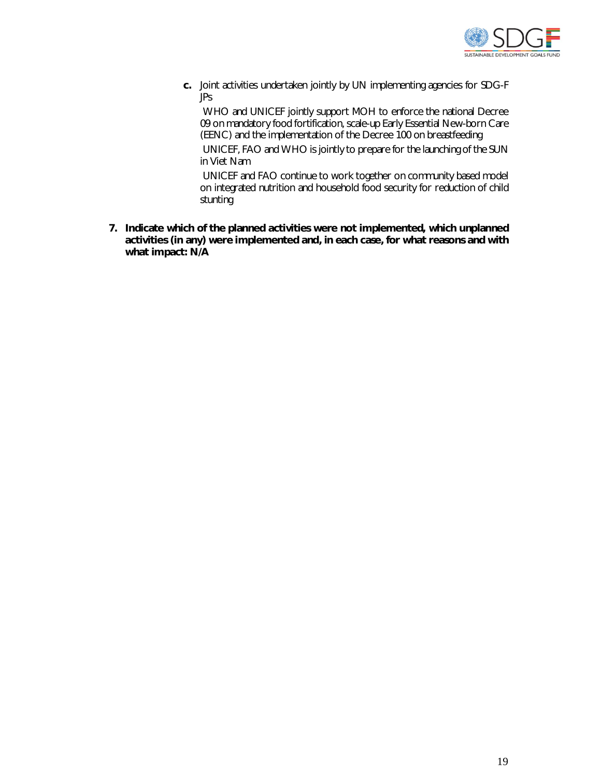

**c.** Joint activities undertaken jointly by UN implementing agencies for SDG-F JPs

WHO and UNICEF jointly support MOH to enforce the national Decree 09 on mandatory food fortification, scale-up Early Essential New-born Care (EENC) and the implementation of the Decree 100 on breastfeeding

UNICEF, FAO and WHO is jointly to prepare for the launching of the SUN in Viet Nam

UNICEF and FAO continue to work together on community based model on integrated nutrition and household food security for reduction of child stunting

**7. Indicate which of the planned activities were not implemented, which unplanned activities (in any) were implemented and, in each case, for what reasons and with what impact: N/A**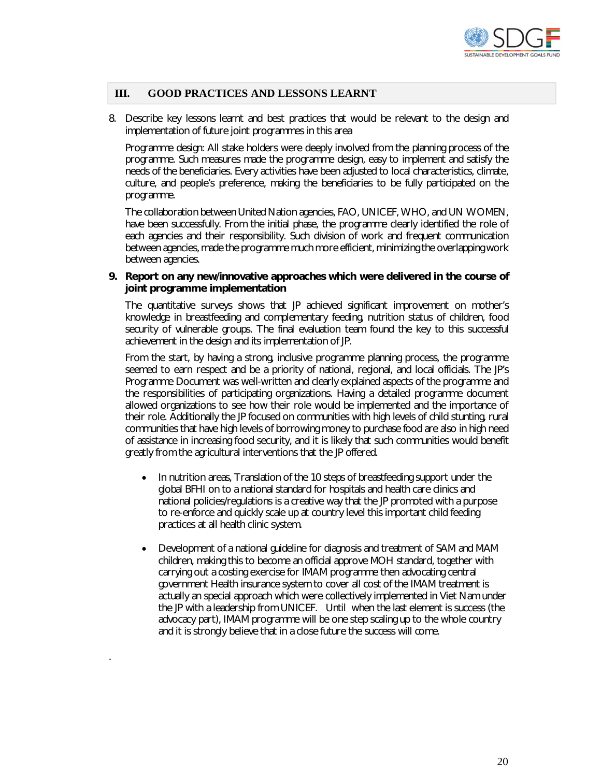

#### **III. GOOD PRACTICES AND LESSONS LEARNT**

8. Describe key lessons learnt and best practices that would be relevant to the design and implementation of future joint programmes in this area

Programme design: All stake holders were deeply involved from the planning process of the programme. Such measures made the programme design, easy to implement and satisfy the needs of the beneficiaries. Every activities have been adjusted to local characteristics, climate, culture, and people's preference, making the beneficiaries to be fully participated on the programme.

The collaboration between United Nation agencies, FAO, UNICEF, WHO, and UN WOMEN, have been successfully. From the initial phase, the programme clearly identified the role of each agencies and their responsibility. Such division of work and frequent communication between agencies, made the programme much more efficient, minimizing the overlapping work between agencies.

#### **9. Report on any new/innovative approaches which were delivered in the course of joint programme implementation**

The quantitative surveys shows that JP achieved significant improvement on mother's knowledge in breastfeeding and complementary feeding, nutrition status of children, food security of vulnerable groups. The final evaluation team found the key to this successful achievement in the design and its implementation of JP.

From the start, by having a strong, inclusive programme planning process, the programme seemed to earn respect and be a priority of national, regional, and local officials. The JP's Programme Document was well-written and clearly explained aspects of the programme and the responsibilities of participating organizations. Having a detailed programme document allowed organizations to see how their role would be implemented and the importance of their role. Additionally the JP focused on communities with high levels of child stunting, rural communities that have high levels of borrowing money to purchase food are also in high need of assistance in increasing food security, and it is likely that such communities would benefit greatly from the agricultural interventions that the JP offered.

- In nutrition areas, Translation of the 10 steps of breastfeeding support under the global BFHI on to a national standard for hospitals and health care clinics and national policies/regulations is a creative way that the JP promoted with a purpose to re-enforce and quickly scale up at country level this important child feeding practices at all health clinic system.
- Development of a national guideline for diagnosis and treatment of SAM and MAM children, making this to become an official approve MOH standard, together with carrying out a costing exercise for IMAM programme then advocating central government Health insurance system to cover all cost of the IMAM treatment is actually an special approach which were collectively implemented in Viet Nam under the JP with a leadership from UNICEF. Until when the last element is success (the advocacy part), IMAM programme will be one step scaling up to the whole country and it is strongly believe that in a close future the success will come.

.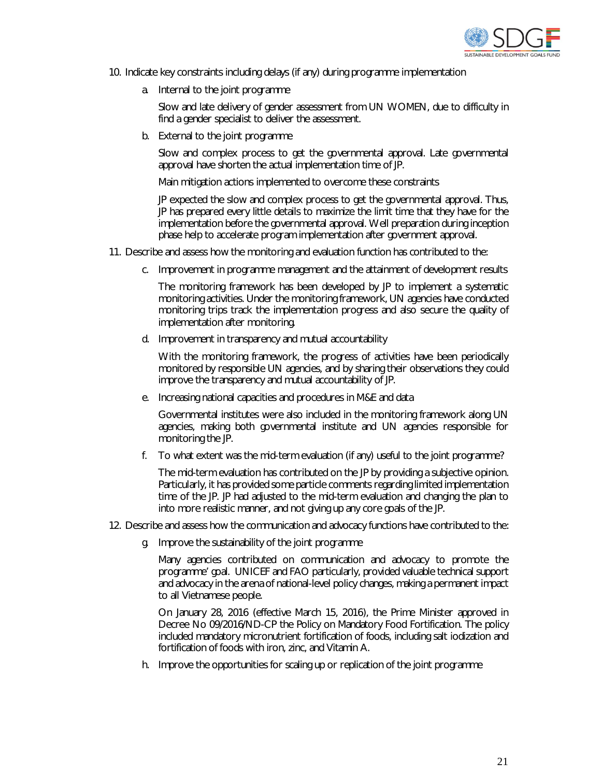

- 10. Indicate key constraints including delays (if any) during programme implementation
	- a. Internal to the joint programme

Slow and late delivery of gender assessment from UN WOMEN, due to difficulty in find a gender specialist to deliver the assessment.

b. External to the joint programme

Slow and complex process to get the governmental approval. Late governmental approval have shorten the actual implementation time of JP.

Main mitigation actions implemented to overcome these constraints

JP expected the slow and complex process to get the governmental approval. Thus, JP has prepared every little details to maximize the limit time that they have for the implementation before the governmental approval. Well preparation during inception phase help to accelerate program implementation after government approval.

- 11. Describe and assess how the monitoring and evaluation function has contributed to the:
	- c. Improvement in programme management and the attainment of development results

The monitoring framework has been developed by JP to implement a systematic monitoring activities. Under the monitoring framework, UN agencies have conducted monitoring trips track the implementation progress and also secure the quality of implementation after monitoring.

d. Improvement in transparency and mutual accountability

With the monitoring framework, the progress of activities have been periodically monitored by responsible UN agencies, and by sharing their observations they could improve the transparency and mutual accountability of JP.

e. Increasing national capacities and procedures in M&E and data

Governmental institutes were also included in the monitoring framework along UN agencies, making both governmental institute and UN agencies responsible for monitoring the JP.

f. To what extent was the mid-term evaluation (if any) useful to the joint programme?

The mid-term evaluation has contributed on the JP by providing a subjective opinion. Particularly, it has provided some particle comments regarding limited implementation time of the JP. JP had adjusted to the mid-term evaluation and changing the plan to into more realistic manner, and not giving up any core goals of the JP.

- 12. Describe and assess how the communication and advocacy functions have contributed to the:
	- g. Improve the sustainability of the joint programme

Many agencies contributed on communication and advocacy to promote the programme' goal. UNICEF and FAO particularly, provided valuable technical support and advocacy in the arena of national-level policy changes, making a permanent impact to all Vietnamese people.

On January 28, 2016 (effective March 15, 2016), the Prime Minister approved in Decree No 09/2016/ND-CP the Policy on Mandatory Food Fortification. The policy included mandatory micronutrient fortification of foods, including salt iodization and fortification of foods with iron, zinc, and Vitamin A.

h. Improve the opportunities for scaling up or replication of the joint programme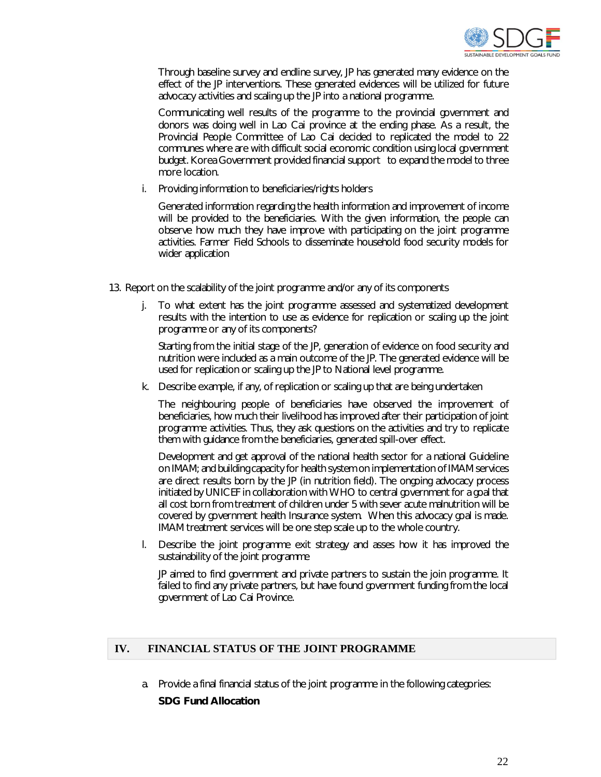

Through baseline survey and endline survey, JP has generated many evidence on the effect of the JP interventions. These generated evidences will be utilized for future advocacy activities and scaling up the JP into a national programme.

Communicating well results of the programme to the provincial government and donors was doing well in Lao Cai province at the ending phase. As a result, the Provincial People Committee of Lao Cai decided to replicated the model to 22 communes where are with difficult social economic condition using local government budget. Korea Government provided financial support to expand the model to three more location.

i. Providing information to beneficiaries/rights holders

Generated information regarding the health information and improvement of income will be provided to the beneficiaries. With the given information, the people can observe how much they have improve with participating on the joint programme activities. Farmer Field Schools to disseminate household food security models for wider application

- 13. Report on the scalability of the joint programme and/or any of its components
	- j. To what extent has the joint programme assessed and systematized development results with the intention to use as evidence for replication or scaling up the joint programme or any of its components?

Starting from the initial stage of the JP, generation of evidence on food security and nutrition were included as a main outcome of the JP. The generated evidence will be used for replication or scaling up the JP to National level programme.

k. Describe example, if any, of replication or scaling up that are being undertaken

The neighbouring people of beneficiaries have observed the improvement of beneficiaries, how much their livelihood has improved after their participation of joint programme activities. Thus, they ask questions on the activities and try to replicate them with guidance from the beneficiaries, generated spill-over effect.

Development and get approval of the national health sector for a national Guideline on IMAM; and building capacity for health system on implementation of IMAM services are direct results born by the JP (in nutrition field). The ongoing advocacy process initiated by UNICEF in collaboration with WHO to central government for a goal that all cost born from treatment of children under 5 with sever acute malnutrition will be covered by government health Insurance system. When this advocacy goal is made. IMAM treatment services will be one step scale up to the whole country.

l. Describe the joint programme exit strategy and asses how it has improved the sustainability of the joint programme

JP aimed to find government and private partners to sustain the join programme. It failed to find any private partners, but have found government funding from the local government of Lao Cai Province.

# **IV. FINANCIAL STATUS OF THE JOINT PROGRAMME**

a. Provide a final financial status of the joint programme in the following categories:

#### **SDG Fund Allocation**